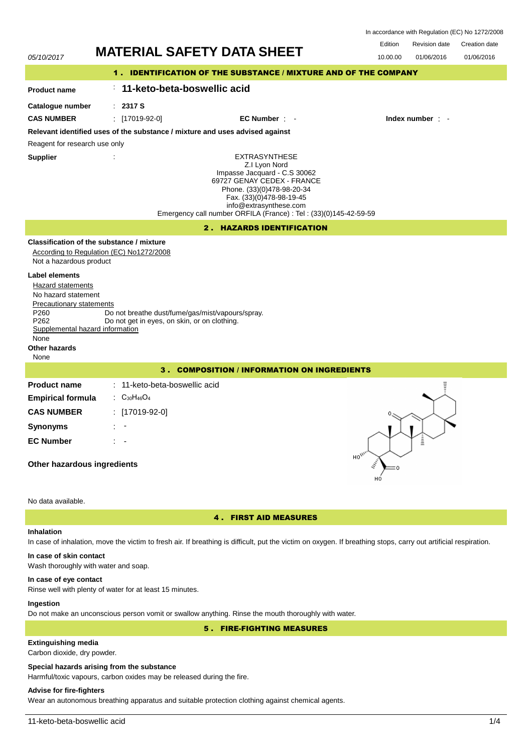In accordance with Regulation (EC) No 1272/2008

Revision date Edition Creation date



# 4 . FIRST AID MEASURES

# **Inhalation**

In case of inhalation, move the victim to fresh air. If breathing is difficult, put the victim on oxygen. If breathing stops, carry out artificial respiration.

# **In case of skin contact**

Wash thoroughly with water and soap.

## **In case of eye contact**

Rinse well with plenty of water for at least 15 minutes.

## **Ingestion**

Do not make an unconscious person vomit or swallow anything. Rinse the mouth thoroughly with water.

# 5 . FIRE-FIGHTING MEASURES

# **Extinguishing media**

Carbon dioxide, dry powder.

### **Special hazards arising from the substance**

Harmful/toxic vapours, carbon oxides may be released during the fire.

# **Advise for fire-fighters**

Wear an autonomous breathing apparatus and suitable protection clothing against chemical agents.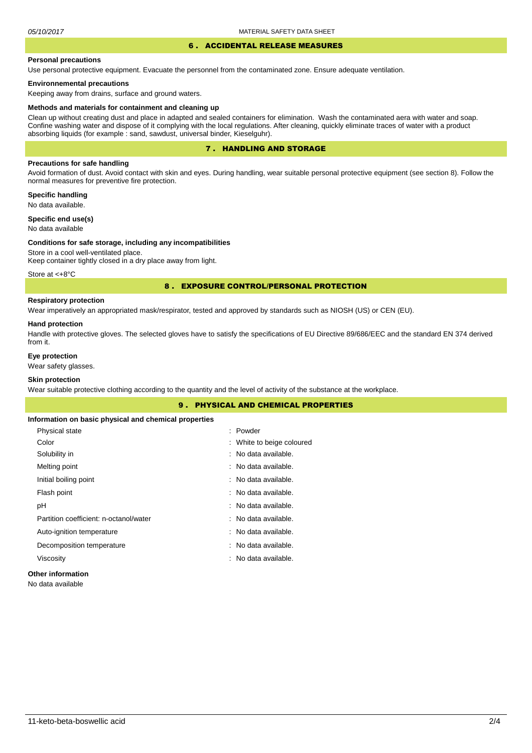#### 6 . ACCIDENTAL RELEASE MEASURES

### **Personal precautions**

Use personal protective equipment. Evacuate the personnel from the contaminated zone. Ensure adequate ventilation.

### **Environnemental precautions**

Keeping away from drains, surface and ground waters.

#### **Methods and materials for containment and cleaning up**

Clean up without creating dust and place in adapted and sealed containers for elimination. Wash the contaminated aera with water and soap. Confine washing water and dispose of it complying with the local regulations. After cleaning, quickly eliminate traces of water with a product absorbing liquids (for example : sand, sawdust, universal binder, Kieselguhr).

# 7 . HANDLING AND STORAGE

## **Precautions for safe handling**

Avoid formation of dust. Avoid contact with skin and eyes. During handling, wear suitable personal protective equipment (see section 8). Follow the normal measures for preventive fire protection.

**Specific handling** No data available.

**Specific end use(s)**

# No data available

#### **Conditions for safe storage, including any incompatibilities**

Store in a cool well-ventilated place. Keep container tightly closed in a dry place away from light.

Store at <+8°C

### 8 . EXPOSURE CONTROL/PERSONAL PROTECTION

# **Respiratory protection**

Wear imperatively an appropriated mask/respirator, tested and approved by standards such as NIOSH (US) or CEN (EU).

#### **Hand protection**

Handle with protective gloves. The selected gloves have to satisfy the specifications of EU Directive 89/686/EEC and the standard EN 374 derived from it.

## **Eye protection**

Wear safety glasses.

## **Skin protection**

Wear suitable protective clothing according to the quantity and the level of activity of the substance at the workplace.

|                                                       | <b>9. PHYSICAL AND CHEMICAL PROPERTIES</b> |  |
|-------------------------------------------------------|--------------------------------------------|--|
| Information on basic physical and chemical properties |                                            |  |
| Physical state                                        | : Powder                                   |  |
| Color                                                 | : White to beige coloured                  |  |
| Solubility in                                         | : No data available.                       |  |
| Melting point                                         | : No data available.                       |  |
| Initial boiling point                                 | : No data available.                       |  |
| Flash point                                           | : No data available.                       |  |
| рH                                                    | : No data available.                       |  |
| Partition coefficient: n-octanol/water                | : No data available.                       |  |
| Auto-ignition temperature                             | : No data available.                       |  |
| Decomposition temperature                             | : No data available.                       |  |
| Viscosity                                             | : No data available.                       |  |
|                                                       |                                            |  |

# **Other information**

No data available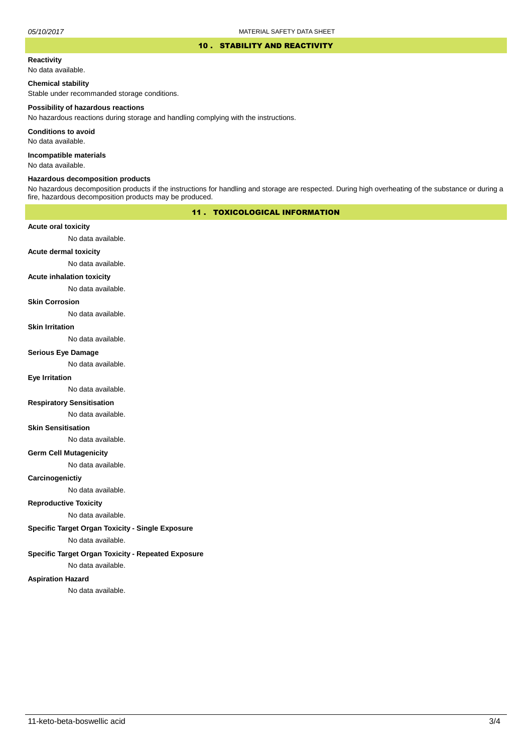### 10 . STABILITY AND REACTIVITY

## **Reactivity**

No data available.

### **Chemical stability**

Stable under recommanded storage conditions.

#### **Possibility of hazardous reactions**

No hazardous reactions during storage and handling complying with the instructions.

**Conditions to avoid**

No data available.

**Incompatible materials**

No data available.

## **Hazardous decomposition products**

No hazardous decomposition products if the instructions for handling and storage are respected. During high overheating of the substance or during a fire, hazardous decomposition products may be produced.

# 11 . TOXICOLOGICAL INFORMATION

### **Acute oral toxicity**

No data available.

# **Acute dermal toxicity**

No data available.

#### **Acute inhalation toxicity**

No data available.

## **Skin Corrosion**

No data available.

#### **Skin Irritation**

No data available.

# **Serious Eye Damage**

No data available.

# **Eye Irritation**

No data available.

### **Respiratory Sensitisation**

No data available.

### **Skin Sensitisation**

No data available.

### **Germ Cell Mutagenicity**

No data available.

### **Carcinogenictiy**

No data available.

# **Reproductive Toxicity**

No data available.

### **Specific Target Organ Toxicity - Single Exposure**

No data available.

### **Specific Target Organ Toxicity - Repeated Exposure**

No data available.

### **Aspiration Hazard**

No data available.